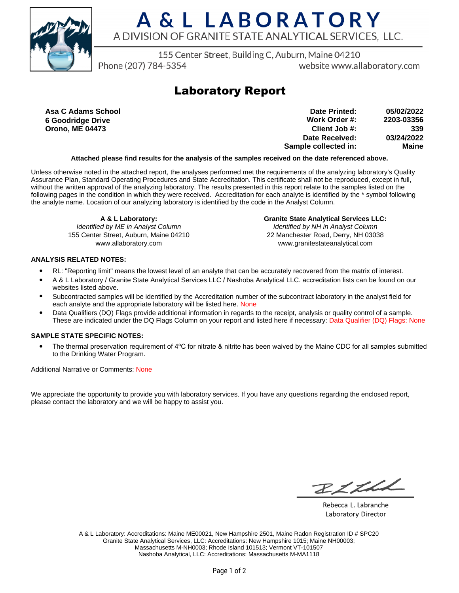

# A & L LABORATORY A DIVISION OF GRANITE STATE ANALYTICAL SERVICES, LLC.

155 Center Street, Building C, Auburn, Maine 04210

Phone (207) 784-5354

website www.allaboratory.com

### **Laboratory Report**

**Asa C Adams School 6 Goodridge Drive Orono, ME 04473**

**Work Order #: Client Job #: Date Received: Sample collected in: 2203-03356 339 03/24/2022 Maine Date Printed: 05/02/2022**

#### **Attached please find results for the analysis of the samples received on the date referenced above.**

Unless otherwise noted in the attached report, the analyses performed met the requirements of the analyzing laboratory's Quality Assurance Plan, Standard Operating Procedures and State Accreditation. This certificate shall not be reproduced, except in full, without the written approval of the analyzing laboratory. The results presented in this report relate to the samples listed on the following pages in the condition in which they were received. Accreditation for each analyte is identified by the \* symbol following the analyte name. Location of our analyzing laboratory is identified by the code in the Analyst Column.

**A & L Laboratory:**

Identified by ME in Analyst Column 155 Center Street, Auburn, Maine 04210 www.allaboratory.com

**Granite State Analytical Services LLC:** Identified by NH in Analyst Column 22 Manchester Road, Derry, NH 03038 www.granitestateanalytical.com

#### **ANALYSIS RELATED NOTES:**

- RL: "Reporting limit" means the lowest level of an analyte that can be accurately recovered from the matrix of interest.
- A & L Laboratory / Granite State Analytical Services LLC / Nashoba Analytical LLC. accreditation lists can be found on our websites listed above.
- Subcontracted samples will be identified by the Accreditation number of the subcontract laboratory in the analyst field for each analyte and the appropriate laboratory will be listed here. None
- Data Qualifiers (DQ) Flags provide additional information in regards to the receipt, analysis or quality control of a sample. These are indicated under the DQ Flags Column on your report and listed here if necessary: Data Qualifier (DQ) Flags: None

### **SAMPLE STATE SPECIFIC NOTES:**

• The thermal preservation requirement of 4°C for nitrate & nitrite has been waived by the Maine CDC for all samples submitted to the Drinking Water Program.

Additional Narrative or Comments: None

We appreciate the opportunity to provide you with laboratory services. If you have any questions regarding the enclosed report, please contact the laboratory and we will be happy to assist you.

BLLLL

Rebecca L. Labranche Laboratory Director

A & L Laboratory: Accreditations: Maine ME00021, New Hampshire 2501, Maine Radon Registration ID # SPC20 Granite State Analytical Services, LLC: Accreditations: New Hampshire 1015; Maine NH00003; Massachusetts M-NH0003; Rhode Island 101513; Vermont VT-101507 Nashoba Analytical, LLC: Accreditations: Massachusetts M-MA1118